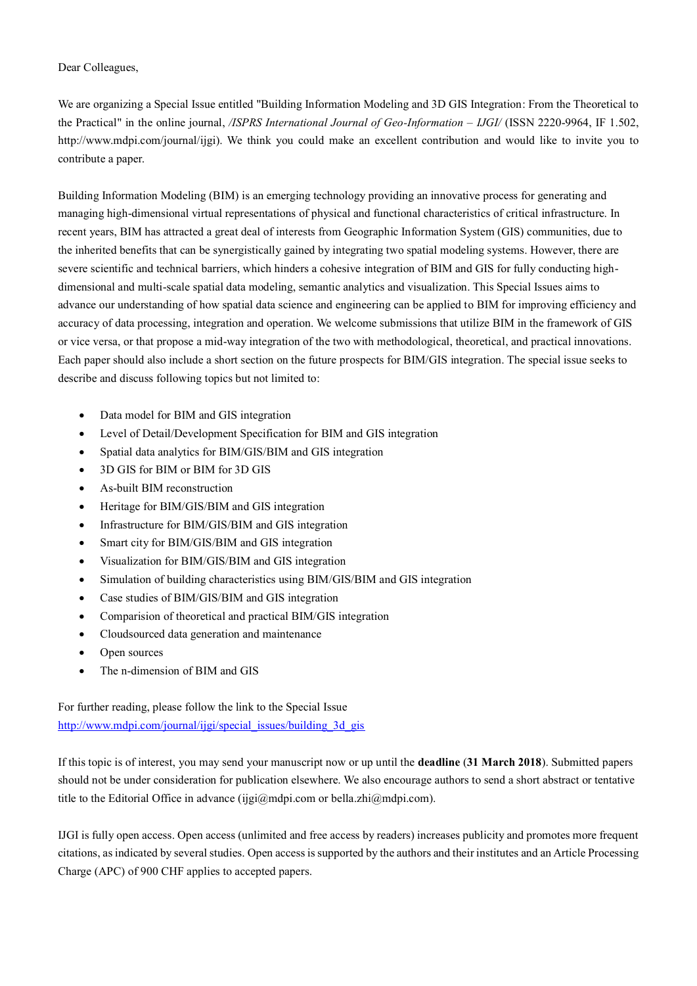Dear Colleagues,

We are organizing a Special Issue entitled "Building Information Modeling and 3D GIS Integration: From the Theoretical to the Practical" in the online journal, */ISPRS International Journal of Geo-Information – IJGI/* (ISSN 2220-9964, IF 1.502, http://www.mdpi.com/journal/ijgi). We think you could make an excellent contribution and would like to invite you to contribute a paper.

Building Information Modeling (BIM) is an emerging technology providing an innovative process for generating and managing high-dimensional virtual representations of physical and functional characteristics of critical infrastructure. In recent years, BIM has attracted a great deal of interests from Geographic Information System (GIS) communities, due to the inherited benefits that can be synergistically gained by integrating two spatial modeling systems. However, there are severe scientific and technical barriers, which hinders a cohesive integration of BIM and GIS for fully conducting highdimensional and multi-scale spatial data modeling, semantic analytics and visualization. This Special Issues aims to advance our understanding of how spatial data science and engineering can be applied to BIM for improving efficiency and accuracy of data processing, integration and operation. We welcome submissions that utilize BIM in the framework of GIS or vice versa, or that propose a mid-way integration of the two with methodological, theoretical, and practical innovations. Each paper should also include a short section on the future prospects for BIM/GIS integration. The special issue seeks to describe and discuss following topics but not limited to:

- Data model for BIM and GIS integration
- Level of Detail/Development Specification for BIM and GIS integration
- Spatial data analytics for BIM/GIS/BIM and GIS integration
- 3D GIS for BIM or BIM for 3D GIS
- As-built BIM reconstruction
- Heritage for BIM/GIS/BIM and GIS integration
- Infrastructure for BIM/GIS/BIM and GIS integration
- Smart city for BIM/GIS/BIM and GIS integration
- Visualization for BIM/GIS/BIM and GIS integration
- Simulation of building characteristics using BIM/GIS/BIM and GIS integration
- Case studies of BIM/GIS/BIM and GIS integration
- Comparision of theoretical and practical BIM/GIS integration
- Cloudsourced data generation and maintenance
- Open sources
- The n-dimension of BIM and GIS

For further reading, please follow the link to the Special Issue [http://www.mdpi.com/journal/ijgi/special\\_issues/building\\_3d\\_gis](http://www.mdpi.com/journal/ijgi/special_issues/building_3d_gis)

If this topic is of interest, you may send your manuscript now or up until the **deadline** (**31 March 2018**). Submitted papers should not be under consideration for publication elsewhere. We also encourage authors to send a short abstract or tentative title to the Editorial Office in advance (ijgi@mdpi.com or bella.zhi@mdpi.com).

IJGI is fully open access. Open access (unlimited and free access by readers) increases publicity and promotes more frequent citations, as indicated by several studies. Open access is supported by the authors and their institutes and an Article Processing Charge (APC) of 900 CHF applies to accepted papers.